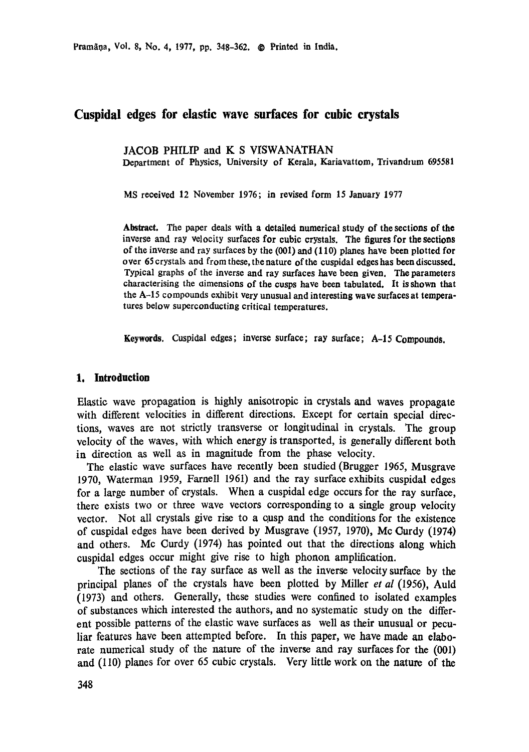Pramāņa, Vol. 8, No. 4, 1977, pp. 348-362. © Printed in India.

# **Cuspidal edges for elastic wave surfaces for cubic crystals**

JACOB PHILIP and K S VISWANATHAN Department of Physics, University of Kerala, Kariavattom, Trivandrum 695581

MS received 12 NOvember 1976; in revised form 15 January 1977

**Abstract.** *The* paper deals with a detailed numerical **study of the sections of the**  inverse and ray velocity surfaces **for cubic** crystals. The figures for **the sections**  of the inverse and ray surfaces by the (001) and (110) planes have been **plotted for**  over 65 crystals and from these, the nature of the cuspidal edges has been discussed. Typical graphs of the inverse and ray surfaces have been given. The parameters characterising the aimensions **of the cusps** have been tabulated. It is shown that the A-15 compounds exhibit very unusual and interesting wave **surfaces at** temperatures below superconducting critical temperatures.

**Keywords.** Cuspidal edges; inverse surface; ray surface; A-15 Compounds.

### **1. Introduction**

Elastic wave propagation is highly anisotropic in crystals and waves propagate with different velocities in different directions. Except for certain special directions, waves are not strictly transverse or longitudinal in crystals. The group velocity of the waves, with which energy is transported, is generally different both in direction as well as in magnitude from the phase velocity.

The elastic wave surfaces have recently been studied (Brugger 1965, Musgrave 1970, Waterman 1959, Famell 1961) and the ray surface exhibits cuspidal edges for a large number of crystals. When a cuspidal edge occurs for the ray surface, there exists two or three wave vectors corresponding to a single group velocity vector. Not all crystals give rise to a cusp and the conditions for the existence of cuspidal edges have been derived by Musgrave (1957, 1970), Mc Curdy (1974) and others. Mc Curdy (1974) has pointed out that the directions along which cuspidal edges occur might give rise to high phonon amplification.

The sections of the ray surface as well as the inverse velocity surface by the principal planes of the crystals have been plotted by Miller *et al* (1956), Auld (1973) and others. Generally, these studies were confined to isolated examples of substances which interested the authors, and no systematic study on the different possible patterns of the elastic wave surfaces as well as their unusual or peculiar features have been attempted before. In this paper, we have made an elaborate numerical study of the nature of the inverse and ray surfaces for the (001) and (I10) planes for over 65 cubic crystals. Very little work on the nature of the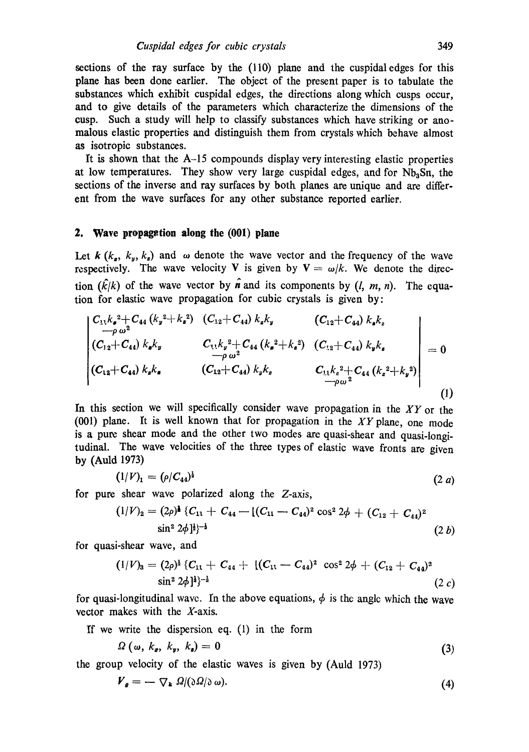sections of the ray surface by the (110) plane and the cuspidal edges for this plane has been done earlier. The object of the present paper is to tabulate the substances which exhibit cuspidal edges, the directions along which cusps occur, and to give details of the parameters which characterize the dimensions of the cusp. Such a study will help to classify substances which have striking or anomalous elastic properties and distinguish them from crystals which behave almost as isotropic substances.

It is shown that the A-15 compounds display very interesting elastic properties at low temperatures. They show very large cuspidal edges, and for  $Nb<sub>3</sub>Sn$ , the sections of the inverse and ray surfaces by both planes are unique and are different from the wave surfaces for any other substance reported earlier.

### **2. Wave propagation along the (001) plane**

Let  $k$  ( $k_a$ ,  $k_y$ ,  $k_a$ ) and  $\omega$  denote the wave vector and the frequency of the wave respectively. The wave velocity V is given by  $V = \omega/k$ . We denote the direction  $(\hat{k}/k)$  of the wave vector by n and its components by  $(l, m, n)$ . The equation for elastic wave propagation for cubic crystals is given by:

$$
\begin{vmatrix}\nC_{11}k_{\bullet}^{2}+C_{44}(k_{y}^{2}+k_{\bullet}^{2}) & (C_{12}+C_{44})k_{\bullet}k_{y} & (C_{12}+C_{44})k_{\bullet}k_{z} \\
-\rho\omega^{2} & (C_{12}+C_{44})k_{\bullet}k_{y} & C_{11}k_{y}^{2}+C_{44}(k_{\bullet}^{2}+k_{\bullet}^{2}) & (C_{12}+C_{44})k_{y}k_{\bullet} \\
-\rho\omega^{2} & & C_{11}k_{z}^{2}+C_{44}(k_{\bullet}^{2}+k_{\bullet}^{2}) \\
(C_{12}+C_{44})k_{\bullet}k_{\bullet} & (C_{12}+C_{44})k_{y}k_{z} & C_{11}k_{z}^{2}+C_{44}(k_{z}^{2}+k_{y}^{2}) \\
-\rho\omega^{2} & & \end{vmatrix} = 0
$$
\n(1)

In this section we will specifically consider wave propagation in the *XY* or the (001) plane. It is well known that for propagation in the  $XY$  plane, one mode is a pure shear mode and the other two modes are quasi-shear and quasi-longitudinal. The wave velocities of the three types of elastic wave fronts are given by (Auld 1973)

$$
(1/V)_1 = (\rho/C_{44})^{\frac{1}{2}} \tag{2 a}
$$

for pure shear wave polarized along the  $Z$ -axis,

$$
(1/V)2 = (2\rho)1 {C11 + C44 - [(C11 - C44)2 cos2 2φ + (C12 + C44)2 sin2 2φ]1/2
$$
 (2 b)

for quasi-shear wave, and

$$
(1/V)3 = (2\rho)1 {C11 + C44 + [(C11 - C44)2 cos2 2\phi + (C12 + C44)2 sin2 2\phi]1}-1
$$
 (2 c)

for quasi-longitudinal wave. In the above equations,  $\phi$  is the angle which the wave vector makes with the X-axis.

If we write the dispersion eq. (1) in the form

$$
\Omega\left(\omega,\,k_{\rm g},\,k_{\rm y},\,k_{\rm s}\right)=0\tag{3}
$$

the group velocity of the elastic waves is given by (Auld 1973)

$$
\boldsymbol{V}_{\boldsymbol{g}} = -\nabla_{\boldsymbol{k}} \ \Omega/(\partial \Omega/\partial \omega). \tag{4}
$$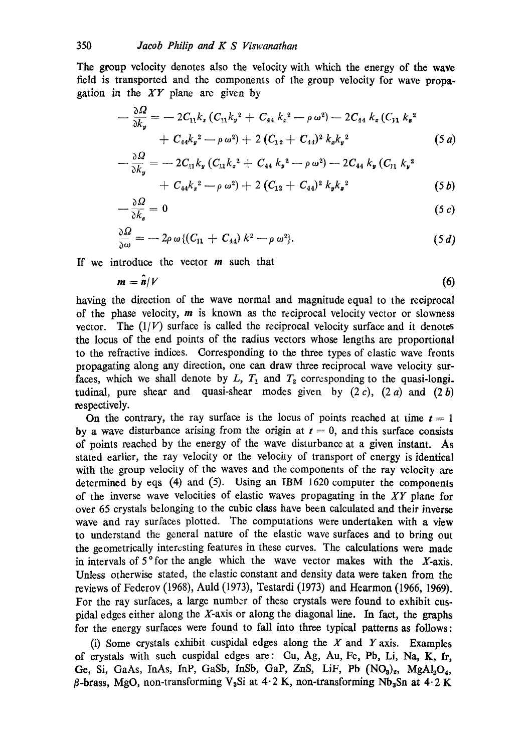The group velocity denotes also the velocity with which the energy of the wave field is transported and the components of the group velocity for wave propagation in the *XY* plane are given by

$$
- \frac{\partial \Omega}{\partial k_y} = -2C_{11}k_x (C_{11}k_y^2 + C_{44}k_z^2 - \rho \omega^2) - 2C_{44}k_x (C_{11}k_z^2 + C_{44}k_y^2 - \rho \omega^2) + 2(C_{12} + C_{44})^2 k_x k_y^2
$$
\n(5 a)

$$
-\frac{\delta S^2}{\delta k_y} = -2C_{11}k_y(C_{11}k_z^2 + C_{44}k_y^2 - \rho\omega^2) - 2C_{44}k_y(C_{11}k_y^2 + C_{44}k_z^2 - \rho\omega^2) + 2(C_{12} + C_{44})^2k_yk_z^2
$$
\n(5*b*)

$$
-\frac{\partial \Omega}{\partial k_z} = 0 \tag{5 c}
$$

$$
\frac{\partial \Omega}{\partial \omega} = -2\rho \omega \left\{ \left( C_{11} + C_{44} \right) k^2 - \rho \omega^2 \right\}.
$$
 (5 d)

If we introduce the vector  $m$  such that

$$
m = \hat{n}/V \tag{6}
$$

having the direction of the wave normal and magnitude equal to the reciprocal of the phase velocity,  $m$  is known as the reciprocal velocity vector or slowness vector. The  $(1/V)$  surface is called the reciprocal velocity surface and it denotes the locus of the end points of the radius vectors whose lengths are proportional to the refractive indices. Corresponding to the three types of elastic wave fronts propagating along any direction, one can draw three reciprocal wave velocity surfaces, which we shall denote by L,  $T_1$  and  $T_2$  corresponding to the quasi-longi. tudinal, pure shear and quasi-shear modes given by  $(2 c)$ ,  $(2 a)$  and  $(2 b)$ respectively.

On the contrary, the ray surface is the locus of points reached at time  $t = 1$ by a wave disturbance arising from the origin at  $t = 0$ , and this surface consists of points reached by the energy of the wave disturbance at a given instant. As stated earlier, the ray velocity or the velocity of transport of energy is identical with the group velocity of the waves and the components of the ray velocity are determined by eqs (4) and (5). Using an IBM 1620 computer the components of the inverse wave velocities of elastic waves propagating in the *XY* plane for over 65 crystals belonging to the cubic class have been calculated and their inverse wave and ray surfaces plotted. The computations were undertaken with a view to understand the general nature of the elastic wave surfaces and to bring out the geometrically intercsting features in these curves. The calculations were made in intervals of  $5^{\circ}$  for the angle which the wave vector makes with the X-axis. Unless otherwise stated, the elastic constant and density data were taken from the reviews of Federov (1968), Auld (1973), Testardi (1973) and Hearmon (1966, 1969). For the ray surfaces, a large number of these crystals were found to exhibit euspidal edges either along the X-axis or along the diagonal line. In fact, the graphs for the energy surfaces were found to fall into three typical patterns as follows:

(i) Some crystals exhibit cuspidal edges along the X and Y axis. Examples of crystals with such cuspidal edges are: Cu, Ag, Au, Fe, Pb, Li, Na, K, Ir, Ge, Si, GaAs, InAs, InP, GaSb, InSb, GaP, ZnS, LiF, Pb  $(NO<sub>3</sub>)<sub>2</sub>$ , MgAl<sub>2</sub>O<sub>4</sub>,  $\beta$ -brass, MgO, non-transforming V<sub>3</sub>Si at 4.2 K, non-transforming Nb<sub>3</sub>Sn at 4.2 K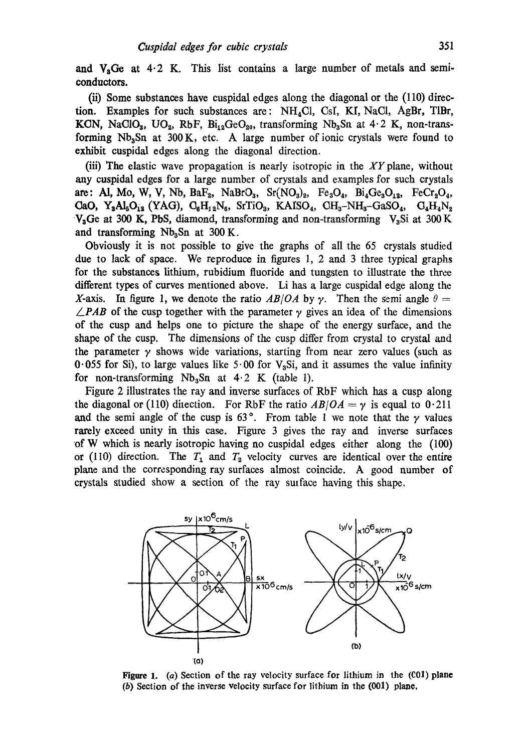and  $V<sub>a</sub>$ Ge at 4.2 K. This list contains a large number of metals and semiconductors.

(ii) Some substances have cuspidal edges along the diagonal or the (110) direction. Examples for such substances are:  $NH<sub>4</sub>Cl$ , CsI, KI, NaCl, AgBr, TlBr, KGN, NaClO<sub>3</sub>, UO<sub>2</sub>, RbF, Bi<sub>12</sub>GeO<sub>20</sub>, transforming Nb<sub>3</sub>Sn at  $4.2$  K, non-transforming  $Nb<sub>3</sub>Sn$  at 300 K, etc. A large number of ionic crystals were found to exhibit cuspidal edges along the diagonal direction.

(iii) The elastic wave propagation is nearly isotropic in the  $XY$  plane, without any cuspidal edges for a large number of crystals and examples for such crystals are: **Al, Mo, W, V, Nb, BaF<sub>2</sub>, NaBrO<sub>3</sub>, Sr(NO<sub>3</sub>)<sub>2</sub>, Fe<sub>3</sub>O<sub>4</sub>, Bi<sub>4</sub>Ge<sub>3</sub>O<sub>12</sub>, FeCr<sub>2</sub>O<sub>4</sub>,**  $\text{CaO}, Y_{3}\text{Al}_{5}\text{O}_{12}$  (YAG),  $\text{C}_{6}\text{H}_{12}\text{N}_{6}$ , SrTiO<sub>3</sub>, KAISO<sub>4</sub>, CH<sub>3</sub>-NH<sub>3</sub>-GaSO<sub>4</sub>,  $\text{C}_{4}\text{H}_{4}\text{N}_{2}$  $V<sub>3</sub>$ Ge at 300 K, PbS, diamond, transforming and non-transforming  $V<sub>3</sub>$ Si at 300 K and transforming  $Nb<sub>3</sub>Sn$  at 300 K.

Obviously it is not possible to give the graphs of all the 65 crystals studied due to lack of space. We reproduce in figures l, 2 and 3 three typical graphs for the substances lithium, rubidium fluoride and tungsten to illustrate the three different types of curves mentioned above. Li has a large cuspidal edge along the X-axis. In figure 1, we denote the ratio  $AB/OA$  by  $\gamma$ . Then the semi angle  $\theta =$  $\angle$ *PAB* of the cusp together with the parameter  $\gamma$  gives an idea of the dimensions of the cusp and helps one to picture the shape of the energy surface, and the shape of the cusp. The dimensions of the cusp differ from crystal to crystal and the parameter  $\gamma$  shows wide variations, starting from near zero values (such as 0.055 for Si), to large values like  $5.00$  for  $V<sub>3</sub>Si$ , and it assumes the value infinity for non-transforming  $Nb<sub>3</sub>Sn$  at  $4.2$  K (table 1).

Figure 2 illustrates the ray and inverse surfaces of RbF which has a cusp along the diagonal or (110) direction. For RbF the ratio  $AB/OA = \gamma$  is equal to 0.211 and the semi angle of the cusp is  $63^\circ$ . From table 1 we note that the  $\gamma$  values rarely exceed unity in this case. Figure 3 gives the ray and inverse surfaces of W which is nearly isotropic having no euspidal edges either along the (100) or (110) direction. The  $T_1$  and  $T_2$  velocity curves are identical over the entire plane and the corresponding ray surfaces almost coincide. A good number of crystals studied show a section of the ray surface having this shape.



Figure 1. (a) Section of the ray velocity surface for lithium in the (CO1) plane (b) Section of the inverse velocity surface for lithium in the  $(001)$  plane,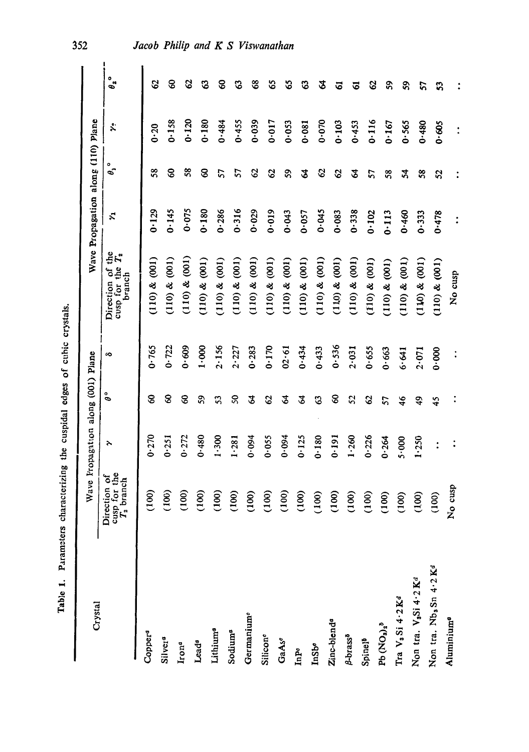| wees of cubic com-      |  |
|-------------------------|--|
|                         |  |
|                         |  |
| s the cuspidal edges c' |  |
|                         |  |
| acterizing              |  |
| o mata                  |  |
|                         |  |
|                         |  |

|                                               |                                              | Wave Fropagation along (001) Plane |                            |           |                                                  | Wave Propagation along (110) Plane |                            |                 |                                           |
|-----------------------------------------------|----------------------------------------------|------------------------------------|----------------------------|-----------|--------------------------------------------------|------------------------------------|----------------------------|-----------------|-------------------------------------------|
| Crystal                                       | Direction of<br>cusp for the<br>$T_2$ branch | 7                                  | å                          | a         | Direction of the<br>cusp for the $T_2$<br>branch | Ż,                                 | ۰<br>θ,                    | $\ddot{\bm{x}}$ | $\mathfrak{o}_{\mathfrak{s}}^{\,\bullet}$ |
| Copper <sup>a</sup>                           | (100)                                        | 0.270                              | 8                          | 0.765     | $(100)$ & $(001)$                                | 0.129                              | 58                         | $0 - 20$        | Q                                         |
| Silver <sup>a</sup>                           | 100)                                         | 0.251                              | 8                          | $0 - 722$ | $(110)$ & $(001)$                                | 0.145                              | 8                          | 0.158           | ଌ                                         |
| Iron <sup>a</sup>                             | 100                                          | 0.272                              | 8                          | 0.609     | $(110)$ & $(001)$                                | 0.075                              | 38                         | 0.120           | ଟ୍ଟ                                       |
| Lead <sup>®</sup>                             | (100)                                        | 0.480                              | 59                         | 1.000     | (110) & (001)                                    | 0.180                              | 8                          | 0.180           | ధి                                        |
| Lithium®                                      | (100)                                        | 1.300                              | 53                         | 2.156     | $(110)$ & $(001)$                                | $0 - 286$                          | 57                         | 0.484           | ွေ                                        |
| Sodium <sup>a</sup>                           | $\overline{100}$                             | 1.281                              | $\boldsymbol{\mathcal{S}}$ | 2.227     | (110) & (001)                                    | 0.316                              | 57                         | 0.455           | ొ                                         |
| Germanium <sup>o</sup>                        | 100                                          | 0.094                              | 2                          | 0.283     | (110) & (001)                                    | $0 - 029$                          | 2                          | 0.039           | ఴ                                         |
| Silicone                                      | 100                                          | 0.055                              | $\mathcal{O}$              | 0.170     | (110) & (001)                                    | 0.019                              | $\mathcal{S}$              | 0.017           | အ                                         |
| GaAse                                         | 100                                          | 0.094                              | 2                          | 02.61     | (110) & (001)                                    | 0.043                              | S                          | 0.053           | အ                                         |
| InPo                                          | (100)                                        | 0.125                              | 2                          | 0.434     | (110) & (001)                                    | $0 - 057$                          | 2                          | 0.081           | ్త                                        |
| <b>InStr</b>                                  | 100                                          | 0.180                              | ය                          | 0.433     | $(110)$ & $(001)$                                | 0.045                              | S                          | 0.070           | 2                                         |
| Zinc-blend <sup>®</sup>                       | 100                                          | 0.191                              | 8                          | 0.536     | (110) & (001)                                    | 0.083                              | S,                         | 0.103           | ತ                                         |
| <b>B-brass<sup>5</sup></b>                    | 100)                                         | $1 - 260$                          | S <sub>2</sub>             | 2.031     | $(110)$ & $(001)$                                | 0.338                              | 2                          | 0.453           | ତ                                         |
| Spinel <sup>b</sup>                           | 100)                                         | 0.226                              | $\mathcal{S}$              | 0.655     | (110) & (001)                                    | 0.102                              | 57                         | 0.116           | ွ                                         |
| Pb $(\text{NO}_3)_2^b$                        | $\widehat{8}$                                | 0.264                              | 57                         | 0.663     | (110) & (001)                                    | 0.113                              | $\frac{8}{3}$              | 0.167           | S,                                        |
| Tra V <sub>3</sub> Si 4.2K <sup>d</sup>       | 100                                          | $5 - 000$                          | $\frac{4}{6}$              | 6.641     | (110) & (001)                                    | 0.460                              | 24                         | 0.565           | SS,                                       |
| Non tra. V <sub>3</sub> Si 4.2 K <sup>a</sup> | 100                                          | $1 - 250$                          | \$                         | 2.071     | (110) & (001)                                    | $0 - 333$                          | $\boldsymbol{\mathcal{S}}$ | 0.480           | 57                                        |
| Non tra. Nb, Sn 4.2 Kd                        | <u>දි</u>                                    | $\ddot{\cdot}$                     | $\frac{45}{5}$             | 0.000     | $(100)$ & $(001)$                                | 0.478                              | 2                          | 0.605           | 53                                        |
| Aluminium <sup>o</sup>                        | cusp<br>ž                                    |                                    |                            |           | No cusp                                          | $\ddot{\cdot}$                     |                            |                 |                                           |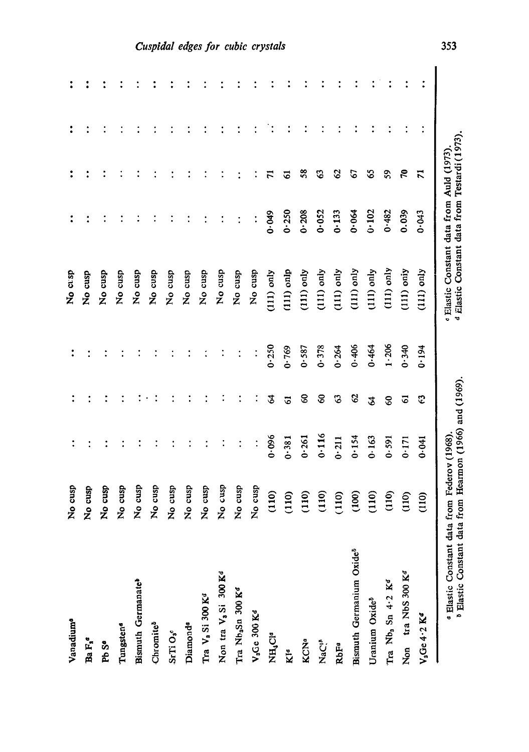| Vanadium <sup>a</sup>                                                                                            | No cusp        |       |    |       | No crsp                                                                                  |           |               |  |
|------------------------------------------------------------------------------------------------------------------|----------------|-------|----|-------|------------------------------------------------------------------------------------------|-----------|---------------|--|
| Ba $\mathbf{F_{s}}^{a}$                                                                                          | No cusp        |       |    |       | No cusp                                                                                  |           |               |  |
| Pb S <sup>a</sup>                                                                                                | No cusp        |       |    |       | No cusp                                                                                  |           |               |  |
| Tungsten <sup>4</sup>                                                                                            | No cusp        |       |    |       | No cusp                                                                                  |           |               |  |
| Bismuth Germanate <sup>b</sup>                                                                                   | No cusp        |       |    |       | No cusp                                                                                  |           |               |  |
| Chromite <sup>5</sup>                                                                                            | No cusp        |       |    |       | No cusp                                                                                  |           |               |  |
| SrTi O <sub>s</sub>                                                                                              | No cusp        |       |    |       | No cusp                                                                                  |           |               |  |
| Diamond <sup>®</sup>                                                                                             | No cusp        |       |    |       | No cusp                                                                                  |           |               |  |
| Tra V <sub>3</sub> Si 300 K <sup>d</sup>                                                                         | No cusp        |       |    |       | No cusp                                                                                  |           |               |  |
| Non tra V <sub>3</sub> Si 300 K <sup>d</sup>                                                                     | No cusp        |       |    |       | No cusp                                                                                  |           |               |  |
| Tra Nb <sub>a</sub> Sn 300 K <sup>d</sup>                                                                        | No cusp        |       |    |       | No cusp                                                                                  |           |               |  |
| $V_a$ Ge 300 $K^d$                                                                                               | No cusp        |       |    |       | No cusp                                                                                  |           |               |  |
| NH <sub>1</sub> Cle                                                                                              | (110)          | 0.096 | 2  | 0.250 | $(111)$ only                                                                             | 0.049     |               |  |
| Kla                                                                                                              | (110)          | 0.381 | ತ  | 0.769 | $(111)$ onlp                                                                             | $0 - 250$ | ত             |  |
| KCNa                                                                                                             | (110)          | 0.261 | 8  | 0.587 | $(111)$ only                                                                             | 0.208     | $\frac{8}{5}$ |  |
| NaC! <sup>p</sup>                                                                                                | (110)          | 0.116 | 8  | 0.378 | $(111)$ only                                                                             | 0.052     | ౪             |  |
| RbFa                                                                                                             | (110)          | 0.211 | β  | 0.264 | $(111)$ only                                                                             | 0.133     | 8             |  |
| Bismuth Germanium Oxide <sup>5</sup>                                                                             | (100)          | 0.154 | 2  | 0.406 | $(111)$ only                                                                             | 0.064     | 2             |  |
| Uranium Oxide <sup>5</sup>                                                                                       | (110)          | 0.163 | \$ | 0.464 | $(111)$ only                                                                             | 0.102     | 3             |  |
| Tra $Nb3$ Sn 4.2 $Kd$                                                                                            | (110)          | 0.591 | 8  | 1.206 | $(111)$ only                                                                             | 0.482     | 59            |  |
| Non tra NbS 300 K <sup>d</sup>                                                                                   | (110)          | 0.171 | 5  | 0.340 | $(111)$ only                                                                             | 0.039     | ξ             |  |
| $V_3Ge 4.2 Kd$                                                                                                   | $\frac{10}{2}$ | 0.041 | c  | 0.194 | $(111)$ only                                                                             | 0.043     | ಸ             |  |
| <sup>8</sup> Elastic Constant data from Hearmon (1966) and (1969)<br>« Elastic Constant data from Federov (1968) |                |       |    |       | d Elastic Constant data from Testardi (1973)<br>e Elastic Constant data from Auld (1973) |           |               |  |

# mhil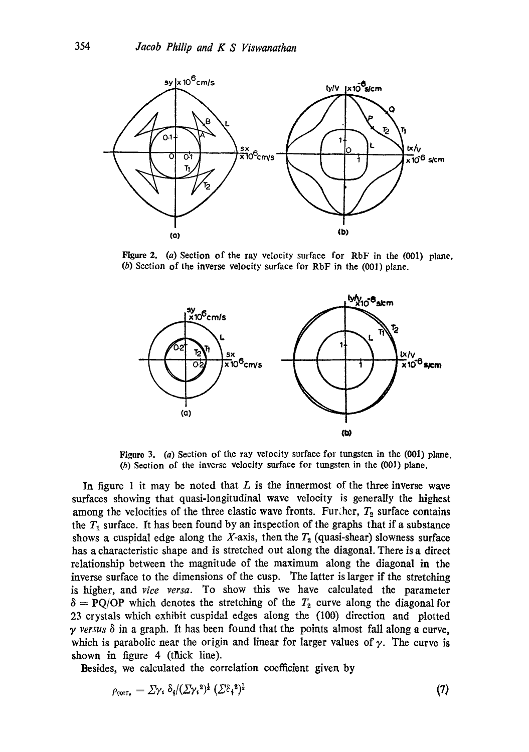

**Figure** 2. (a) Section of the ray velocity surface for RbF in the (001) plane. (b) Section of the inverse velocity surface for RbF in the (001) plane.



Figure 3. (a) Section of the ray velocity surface for tungsten in the (001) plane. (b) Section of the inverse velocity surface for tungsten in the (001) plane.

In figure 1 it may be noted that  $L$  is the innermost of the three inverse wave surfaces showing that quasi-longitudinal wave velocity is generally the highest among the velocities of the three elastic wave fronts. Further,  $T_2$  surface contains the  $T_1$  surface. It has been found by an inspection of the graphs that if a substance shows a cuspidal edge along the X-axis, then the  $T_2$  (quasi-shear) slowness surface has a characteristic shape and is stretched out along the diagonal. There is a direct relationship between the magnitude of the maximum along the diagonal in the inverse surface to the dimensions of the cusp. The latter is larger if the stretching is higher, and *vice versa.* To show this we have calculated the parameter  $\delta = PQ/OP$  which denotes the stretching of the  $T_2$  curve along the diagonal for 23 crystals which exhibit cuspidal edges along the (100) direction and plotted *y versus 8* in a graph. It has been found that the points almost fall along a curve, which is parabolic near the origin and linear for larger values of  $\gamma$ . The curve is shown in figure  $4$  (thick line).

Besides, we calculated the correlation coefficient given by

$$
\rho_{\text{corr}_{\bullet}} = \Sigma \gamma_{\text{i}} \, \delta_{\text{i}} / (\Sigma \gamma_{\text{i}}^2)^{\frac{1}{2}} \, (\Sigma^{\beta} \gamma_{\text{i}}^2)^{\frac{1}{2}} \tag{7}
$$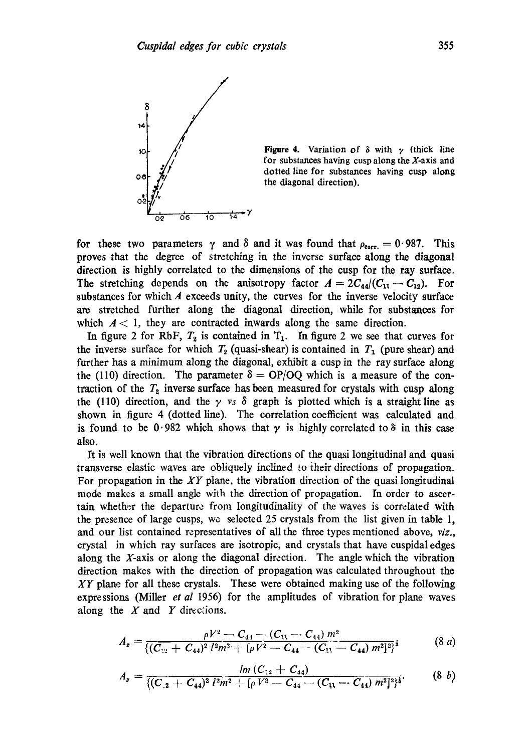

Figure 4. Variation of  $\delta$  with  $\gamma$  (thick line for substances having cusp along the X-axis and dotted line for substances having cusp along the diagonal direction).

for these two parameters  $\gamma$  and  $\delta$  and it was found that  $\rho_{\text{corr}} = 0.987$ . This proves that the degree of stretching in the inverse surface along the diagonal direction is highly correlated to the dimensions of the cusp for the ray surface. The stretching depends on the anisotropy factor  $A = 2C_{44}/(C_{11} - C_{12})$ . For substances for which  $\vec{A}$  exceeds unity, the curves for the inverse velocity surface are stretched further along the diagonal direction, while for substances for which  $A < 1$ , they are contracted inwards along the same direction.

In figure 2 for RbF,  $T_2$  is contained in  $T_1$ . In figure 2 we see that curves for the inverse surface for which  $T_2$  (quasi-shear) is contained in  $T_1$  (pure shear) and further has a minimum along the diagonal, exhibit a cusp in the ray surface along the (110) direction. The parameter  $\delta = OP/OQ$  which is a measure of the contraction of the  $T_2$  inverse surface has been measured for crystals with cusp along the (110) direction, and the  $\gamma$  *vs*  $\delta$  graph is plotted which is a straight line as shown in figure 4 (dotted line). The correlation coefficient was calculated and is found to be 0.982 which shows that  $\gamma$  is highly correlated to  $\delta$  in this case also.

It is well known that the vibration directions of the quasi longitudinal and quasi transverse elastic waves are obliquely inclined to their directions of propagation. For propagation in the *XY* plane, the vibration direction of the quasi longitudinal mode makes a small angle with the direction of propagation. In order to ascertain *whether* the departure from longitudiaality of the waves is correlated with the presence of large cusps, we selected 25 crystals from the list given in table 1, and our list contained representatives of all the three types mentioned above, *viz.,*  crystal in which ray surfaces are isotropic, and crystals that have cuspidal edges along the X-axis or along the diagonal direction. The angle which the vibration direction makes with the direction of propagation was calculated throughout the *XY* plane for all these crystals. These were obtained making use of the following expressions (Miller *et al* 1956) for the amplitudes of vibration for plane waves along the  $X$  and  $Y$  directions.

$$
A_{z} = \frac{\rho V^{2} - C_{44} - (C_{11} - C_{44}) m^{2}}{\left( (C_{12} + C_{44})^{2} l^{2} m^{2} + [\rho V^{2} - C_{44} - (C_{11} - C_{44}) m^{2}]^{2} \right)^{4}}
$$
(8 a)

$$
A_y = \frac{ln (C_{\cdot 2} + C_{44})}{\{(C_{\cdot 2} + C_{44})^2 l^2 m^2 + [\rho V^2 - C_{44} - (C_{11} - C_{44}) m^2]^2\}^4}.
$$
 (8 b)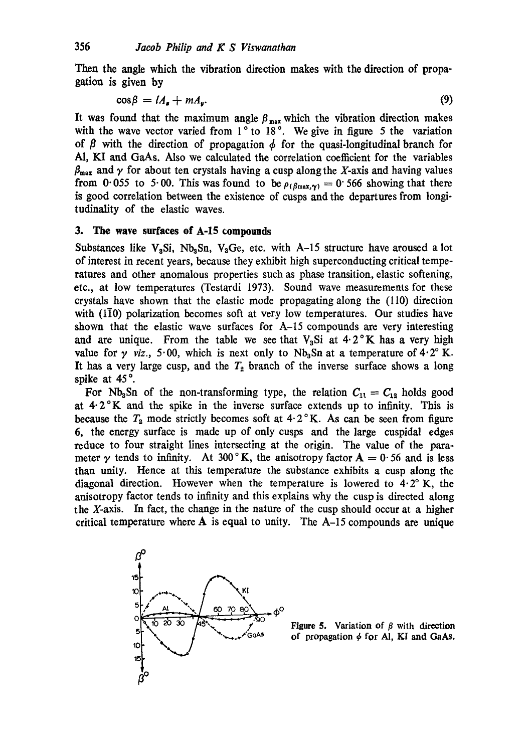Then the angle which the vibration direction makes with the direction of propagation is given by

$$
\cos \beta = lA_{\rm g} + mA_{\rm g}.\tag{9}
$$

It was found that the maximum angle  $\beta_{\text{max}}$  which the vibration direction makes with the wave vector varied from  $1^\circ$  to  $18^\circ$ . We give in figure 5 the variation of  $\beta$  with the direction of propagation  $\phi$  for the quasi-longitudinal branch for A1, KI and GaAs. Also we calculated the correlation coefficient for the variables  $\beta_{\text{max}}$  and  $\gamma$  for about ten crystals having a cusp along the X-axis and having values from 0.055 to 5.00. This was found to be  $\rho_{(\beta max, \gamma)} = 0.566$  showing that there is good correlation between the existence of cusps and the departures from longitudinality of the elastic waves.

### **3. The wave surfaces of A-15 compounds**

Substances like  $V_aSi$ , Nb<sub>a</sub>Sn, V<sub>a</sub>Ge, etc. with A-15 structure have aroused a lot of interest in recent years, because they exhibit high superconducting critical temperatures and other anomalous properties such as phase transition, elastic softening, etc., at low temperatures (Testardi 1973). Sound wave measurements for these crystals have shown that the elastic mode propagating along the (110) direction with  $(1\bar{1}0)$  polarization becomes soft at very low temperatures. Our studies have shown that the elastic wave surfaces for  $A$ -15 compounds are very interesting and are unique. From the table we see that  $V<sub>3</sub>Si$  at  $4.2^{\circ}K$  has a very high value for  $\gamma$  *viz.*, 5.00, which is next only to Nb<sub>3</sub>Sn at a temperature of 4.2° K. It has a very large cusp, and the  $T_2$  branch of the inverse surface shows a long spike at 45°.

For Nb<sub>3</sub>Sn of the non-transforming type, the relation  $C_{11} = C_{12}$  holds good at  $4.2\,^{\circ}$ K and the spike in the inverse surface extends up to infinity. This is because the  $T_2$  mode strictly becomes soft at  $4.2$  K. As can be seen from figure 6, the energy surface is made up of only cusps and the large cuspidal edges reduce to four straight lines intersecting at the origin. The value of the parameter y tends to infinity. At 300°K, the anisotropy factor  $A = 0.56$  and is less than unity. Hence at this temperature the substance exhibits a cusp along the diagonal direction. However when the temperature is lowered to  $4.2^\circ$  K, the anisotropy factor tends to infinity and this explains why the cusp is directed along the X-axis. In fact, the change in the nature of the cusp should occur at a higher critical temperature where  $A$  is equal to unity. The  $A$ -15 compounds are unique



**Figure 5.** Variation of  $\beta$  with direction of propagation  $\phi$  for Al, KI and GaAs.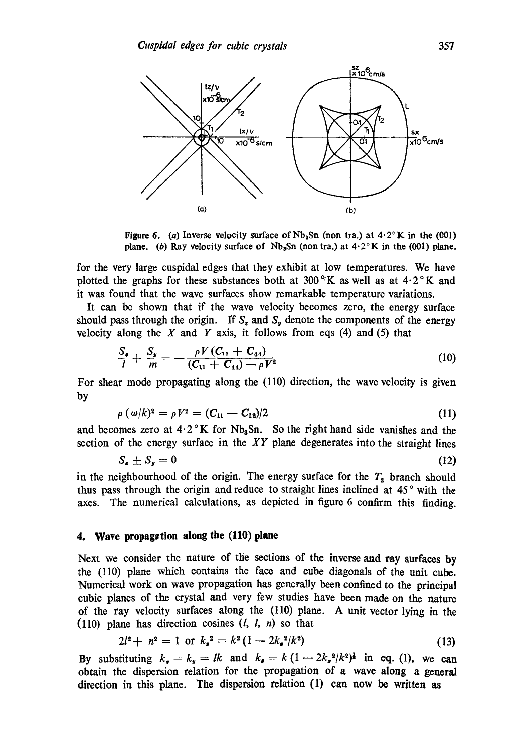

Figure 6. (a) Inverse velocity surface of  $Nb<sub>3</sub>Sn$  (non tra.) at  $4.2^{\circ}K$  in the (001) plane. (b) Ray velocity surface of Nb<sub>3</sub>Sn (nontra.) at  $4.2^{\circ}$ K in the (001) plane.

for the very large cuspidal edges that they exhibit at low temperatures. We have plotted the graphs for these substances both at 300 $\rm °K$  as well as at 4.2 $\rm °K$  and it was found that the wave surfaces show remarkable temperature variations.

It can be shown that if the wave velocity becomes zero, the energy surface should pass through the origin. If  $S_{\epsilon}$  and  $S_{\nu}$  denote the components of the energy velocity along the  $X$  and  $Y$  axis, it follows from eqs (4) and (5) that

$$
\frac{S_{\ast}}{l} + \frac{S_{\ast}}{m} = -\frac{\rho V (C_{11} + C_{44})}{(C_{11} + C_{44}) - \rho V^2}
$$
(10)

For shear mode propagating along the  $(110)$  direction, the wave velocity is given by

$$
\rho\left(\,\omega/k\right)^{2}=\rho\,V^{2}=\left(C_{11}-C_{12}\right)/2\tag{11}
$$

and becomes zero at  $4.2 \degree K$  for Nb<sub>3</sub>Sn. So the right hand side vanishes and the section of the energy surface in the *XY* plane degenerates into the straight lines

$$
S_{\mathbf{z}} \pm S_{\mathbf{y}} = 0 \tag{12}
$$

in the neighbourhood of the origin. The energy surface for the  $T<sub>2</sub>$  branch should thus pass through the origin and reduce to straight lines inclined at 45° with the axes. The numerical calculations, as depicted in figure 6 confirm this finding.

## **4. Wave propagstion along the (110) plane**

Next we consider the nature of the sections of the inverse and ray surfaces by the (110) plane which contains the face and cube diagonals of the unit cube. Numerical work on wave propagation has generally been confined to the principal cubic planes of the crystal and very few studies have been made on the nature of the ray velocity surfaces along the (110) plane. A unit vector lying in the (110) plane has direction cosines  $(l, l, n)$  so that

$$
2l^2 + n^2 = 1 \text{ or } k_s^2 = k^2 \left(1 - 2k_s^2 / k^2\right) \tag{13}
$$

By substituting  $k_a = k_y = lk$  and  $k_a = k(1-2k_a^2/k^2)$  in eq. (1), we can obtain the dispersion relation for the propagation of a wave along a general direction in this plane. The dispersion relation (1) can now be written as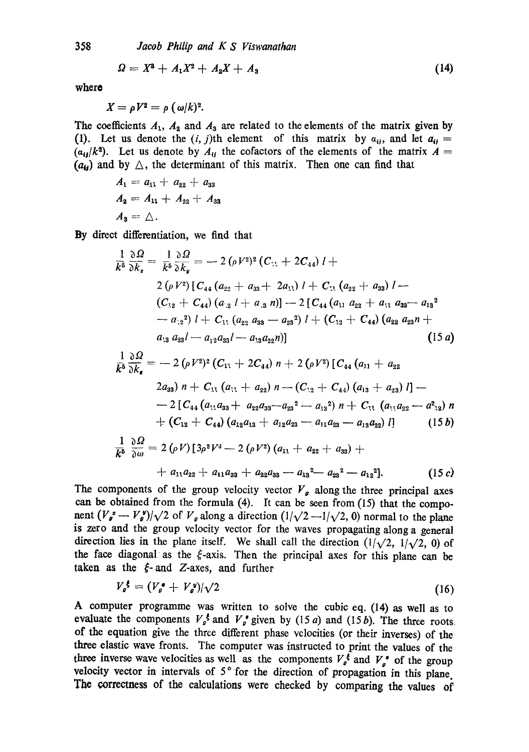*Jacob Philip and K S Viswanathan* 

$$
\Omega = X^3 + A_1 X^2 + A_2 X + A_3 \tag{14}
$$

where

358

$$
X=\rho V^2=\rho (\omega/k)^2.
$$

The coefficients  $A_1$ ,  $A_2$  and  $A_3$  are related to the elements of the matrix given by (1). Let us denote the  $(i, j)$ th element of this matrix by  $a_{ij}$ , and let  $a_{ij} =$  $(a_{ij}/k^2)$ . Let us denote by  $A_{ij}$  the cofactors of the elements of the matrix  $A =$  $(a_{ij})$  and by  $\triangle$ , the determinant of this matrix. Then one can find that

$$
A_1 = a_{11} + a_{22} + a_{33}
$$
  
\n
$$
A_2 = A_{11} + A_{22} + A_{33}
$$
  
\n
$$
A_3 = \triangle.
$$

By direct differentiation, we find that

$$
\frac{1}{k^5} \frac{\partial \Omega}{\partial k_z} = \frac{1}{k^5} \frac{\partial \Omega}{\partial k_y} = -2 (\rho V^2)^2 (C_{11} + 2C_{44}) l +
$$
  
\n
$$
2 (\rho V^2) [C_{44} (a_{22} + a_{33} + 2a_{11}) l + C_{11} (a_{22} + a_{33}) l -
$$
  
\n
$$
(C_{12} + C_{44}) (a_{12} l + a_{13} n) ] - 2 [C_{44} (a_{11} a_{22} + a_{11} a_{33} - a_{13}^2 - a_{12}^2) l + C_{11} (a_{22} a_{33} - a_{23}^2) l + (C_{12} + C_{44}) (a_{22} a_{23} n + a_{13} a_{23} l - a_{12} a_{33} l - a_{13} a_{22} n)]
$$
\n(15 a)

$$
\frac{1}{k^6} \frac{\partial \Omega}{\partial k_s} = -2 (\rho V^2)^2 (C_{11} + 2C_{44}) n + 2 (\rho V^2) [C_{44} (a_{11} + a_{22} - 2a_{33}) n + C_{11} (a_{11} + a_{22}) n - (C_{12} + C_{44}) (a_{13} + a_{23}) l] -
$$
  
\n
$$
-2 [C_{44} (a_{11}a_{33} + a_{22}a_{33} - a_{23}^2 - a_{13}^2) n + C_{11} (a_{11}a_{22} - a_{12}^2) n
$$
  
\n
$$
+ (C_{12} + C_{44}) (a_{12}a_{13} + a_{12}a_{23} - a_{11}a_{23} - a_{13}a_{22}) l] \qquad (15b)
$$
  
\n1

$$
\frac{1}{k^5} \frac{\partial \Omega}{\partial \omega} = 2 (\rho V) [3 \rho^2 V^4 - 2 (\rho V^2) (a_{11} + a_{22} + a_{33}) ++ a_{11} a_{22} + a_{11} a_{33} + a_{22} a_{33} - a_{13}^2 - a_{23}^2 - a_{12}^2].
$$
\n(15 c)

The components of the group velocity vector  $V<sub>g</sub>$  along the three principal axes can be obtained from the formula  $(4)$ . It can be seen from  $(15)$  that the component  $(V_{\rho}^s - V_{\rho}^s)/\sqrt{2}$  of  $V_{\rho}$  along a direction  $(1/\sqrt{2}-1/\sqrt{2}, 0)$  normal to the plane is zero and the group velocity vector for the waves propagating along a general direction lies in the plane itself. We shall call the direction  $(1/\sqrt{2}, 1/\sqrt{2}, 0)$  of the face diagonal as the  $\xi$ -axis. Then the principal axes for this plane can be taken as the  $\zeta$ -and Z-axes, and further

$$
V_{\rho}^{\xi} = (V_{\rho}^{\ast} + V_{\rho}^{\ast})/\sqrt{2} \tag{16}
$$

A computer programme was written to solve the cubic eq. (14) as well as to evaluate the components  $V<sub>g</sub>$ <sup>t</sup> and  $V<sub>g</sub>$ <sup>t</sup> given by (15 a) and (15 b). The three roots. of the equation give the three different phase velocities (or their inverses) of the three elastic wave fronts. The computer was instructed to print the values of the three inverse wave velocities as well as the components  $V_a^{\dagger}$  and  $V_a^{\dagger}$  of the group velocity vector in intervals of  $5^\circ$  for the direction of propagation in this plane. The correctness of the calculations were checked by comparing the values of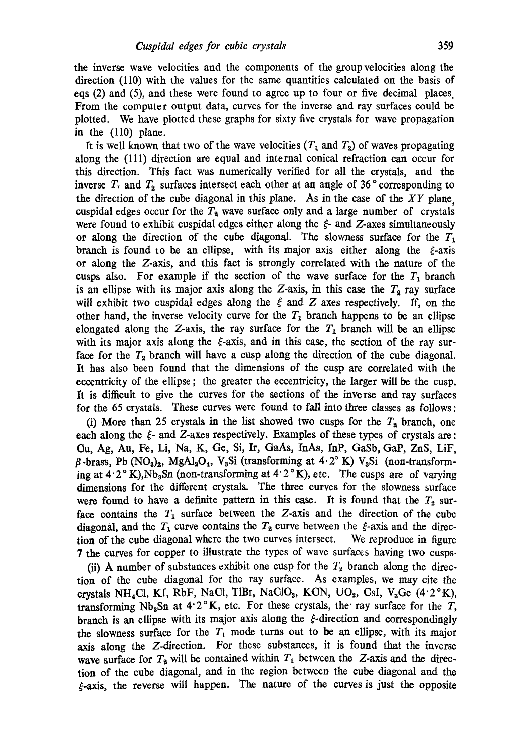the inverse wave velocities and the components of the group velocities along the direction (110) with the values for the same quantities calculated on the basis of eqs (2) and (5), and these were found to agree up to four or five decimal places From the computer output data, curves for the inverse and ray surfaces could be plotted. We have plotted these graphs for sixty five crystals for wave propagation in the (110) plane.

It is well known that two of the wave velocities  $(T_1$  and  $T_2)$  of waves propagating along the (111) direction are equal and internal conical refraction can occur for this direction. This fact was numerically verified for all the crystals, and the inverse  $T_1$  and  $T_2$  surfaces intersect each other at an angle of 36° corresponding to the direction of the cube diagonal in this plane. As in the case of the *XY* plane, cuspidal edges occur for the  $T_2$  wave surface only and a large number of crystals were found to exhibit cuspidal edges either along the  $\xi$ - and  $Z$ -axes simultaneously or along the direction of the cube diagonal. The slowness surface for the  $T_1$ branch is found to be an ellipse, with its major axis either along the  $\xi$ -axis or along the Z-axis, and this fact is strongly correlated with the nature of the cusps also. For example if the section of the wave surface for the  $T_1$  branch is an ellipse with its major axis along the Z-axis, in this case the  $T_2$  ray surface will exhibit two cuspidal edges along the  $\xi$  and Z axes respectively. If, on the other hand, the inverse velocity curve for the  $T_1$  branch happens to be an ellipse elongated along the Z-axis, the ray surface for the  $T_1$  branch will be an ellipse with its major axis along the  $\xi$ -axis, and in this case, the section of the ray surface for the  $T_2$  branch will have a cusp along the direction of the cube diagonal. It has also been found that the dimensions of the cusp are correlated with the eccentricity of the ellipse ; the greater the eccentricity, the larger will be the cusp. It is difficult to give the curves for the sections of the inverse and ray surfaces for the 65 crystals. These curves were found to fall into three classes as follows :

(i) More than 25 crystals in the list showed two cusps for the  $T_2$  branch, one each along the ¢- and Z-axes respectively. Examples of these types of crystals are : (3u, Ag, Au, Fe, Li, Na, K, Ge, Si, It, GaAs, InAs, InP, GaSb, GaP, ZnS, LiF,  $\beta$ -brass, Pb (NO<sub>3</sub>)<sub>2</sub>, MgAl<sub>2</sub>O<sub>4</sub>, V<sub>3</sub>Si (transforming at 4.2° K) V<sub>3</sub>Si (non-transforming at  $4.2^\circ$  K), Nb<sub>a</sub>Sn (non-transforming at  $4.2^\circ$  K), etc. The cusps are of varying dimensions for the different crystals. The three curves for the slowness surface were found to have a definite pattern in this case. It is found that the  $T_2$  surface contains the  $T_1$  surface between the Z-axis and the direction of the cube diagonal, and the  $T_1$  curve contains the  $T_2$  curve between the  $\xi$ -axis and the direction of the cube diagonal where the two curves intersect. We reproduce in figure 7 the curves for copper to illustrate the types of wave surfaces having two cusps.

(ii) A number of substances exhibit one cusp for the  $T_2$  branch along the direction of the cube diagonal for the ray surface. As examples, we may cite the crystals NH<sub>4</sub>Cl, KI, RbF, NaCl, TlBr, NaClO<sub>3</sub>, KCN, UO<sub>2</sub>, CsI, V<sub>3</sub>Ge (4.2°K), transforming Nb<sub>3</sub>Sn at 4.2°K, etc. For these crystals, the ray surface for the T, branch is an ellipse with its major axis along the  $\xi$ -direction and correspondingly the slowness surface for the  $T_1$  mode turns out to be an ellipse, with its major axis along the Z-direction. For these substances, it is found that the inverse wave surface for  $T_2$  will be contained within  $T_1$  between the Z-axis and the direction of the cube diagonal, and in the region between the cube diagonal and the  $\xi$ -axis, the reverse will happen. The nature of the curves is just the opposite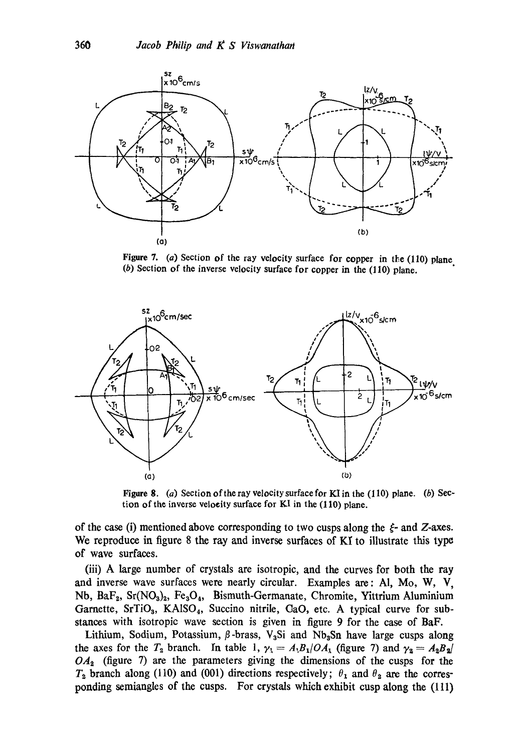

Figure 7. (a) Section of the ray velocity surface for copper in the (110) plane. (b) Section of the inverse velocity surface for copper in the (110) plane.



Figure 8. (a) Section of the ray velocity surface for KI in the (110) plane. (b) Section of the inverse velocity surface for KI in the (110) plane.

of the case (i) mentioned above corresponding to two cusps along the  $\xi$ - and Z-axes. We reproduce in figure 8 the ray and inverse surfaces of KI to illustrate this type of wave surfaces.

(iii) A large number of crystals are isotropic, and the curves for both the ray and inverse wave surfaces were nearly circular. Examples are: A1, Mo, W, V, Nb, BaF<sub>2</sub>, Sr(NO<sub>3</sub>)<sub>2</sub>, Fe<sub>3</sub>O<sub>4</sub>, Bismuth-Germanate, Chromite, Yittrium Aluminium Garnette, SrTiO<sub>3</sub>, KAISO<sub>4</sub>, Succino nitrile, CaO, etc. A typical curve for substances with isotropie wave section is given in figure 9 for the case of BaF.

Lithium, Sodium, Potassium,  $\beta$ -brass, V<sub>3</sub>Si and Nb<sub>3</sub>Sn have large cusps along the axes for the  $T_2$  branch. In table 1,  $\gamma_1 = A_1B_1/OA_1$  (figure 7) and  $\gamma_2 = A_2B_2/$ *OA~* (figure 7) are the parameters giving the dimensions of the cusps for the  $T_2$  branch along (110) and (001) directions respectively;  $\theta_1$  and  $\theta_2$  are the corresponding semiangles of the cusps. For crystals which exhibit cusp along the (111)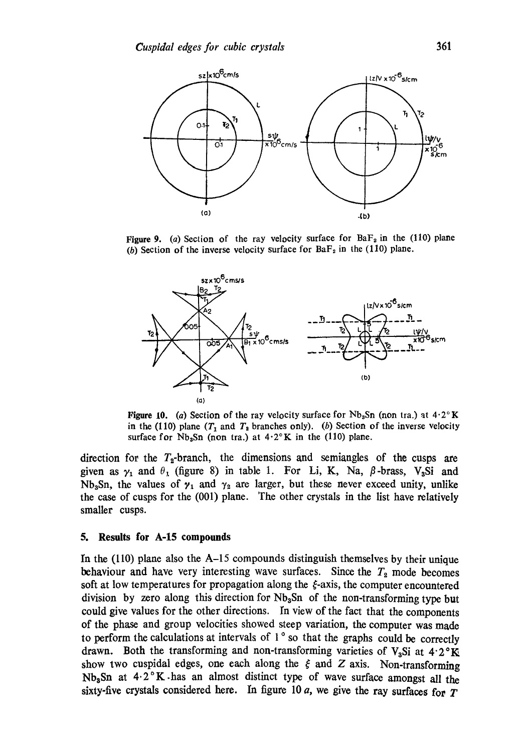

**Figure 9.** (a) Section of the ray velocity surface for  $BaF<sub>2</sub>$  in the (110) plane (b) Section of the inverse velocity surface for  $BaF<sub>2</sub>$  in the (110) plane.



Figure 10. (a) Section of the ray velocity surface for  $Nb<sub>3</sub>Sn$  (non tra.) at  $4.2^\circ K$ in the (110) plane  $(T_1$  and  $T_2$  branches only). (b) Section of the inverse velocity surface for  $Nb<sub>3</sub>Sn$  (non tra.) at  $4.2^{\circ}K$  in the (110) plane.

direction for the  $T_2$ -branch, the dimensions and semiangles of the cusps are given as  $\gamma_1$  and  $\theta_1$  (figure 8) in table 1. For Li, K, Na,  $\beta$ -brass, V<sub>3</sub>Si and Nb<sub>3</sub>Sn, the values of  $\gamma_1$  and  $\gamma_2$  are larger, but these never exceed unity, unlike the case of cusps for the (001) plane. The other crystals in the list have relatively smaller cusps.

#### **5. Results for A-15 compounds**

In the  $(110)$  plane also the A-15 compounds distinguish themselves by their unique behaviour and have very interesting wave surfaces. Since the  $T_2$  mode becomes soft at low temperatures for propagation along the  $\xi$ -axis, the computer encountered division by zero along this direction for  $Nb<sub>3</sub>Sn$  of the non-transforming type but could give values for the other directions. In view of the fact that the components of the phase and group velocities showed steep variation, the computer was made to perform the calculations at intervals of  $1^\circ$  so that the graphs could be correctly drawn. Both the transforming and non-transforming varieties of V<sub>a</sub>Si at  $4.2^{\circ}$ K show two cuspidal edges, one each along the  $\xi$  and  $Z$  axis. Non-transforming Nb<sub>a</sub>Sn at  $4.2\textdegree K$  has an almost distinct type of wave surface amongst all the sixty-five crystals considered here. In figure 10  $a$ , we give the ray surfaces for T